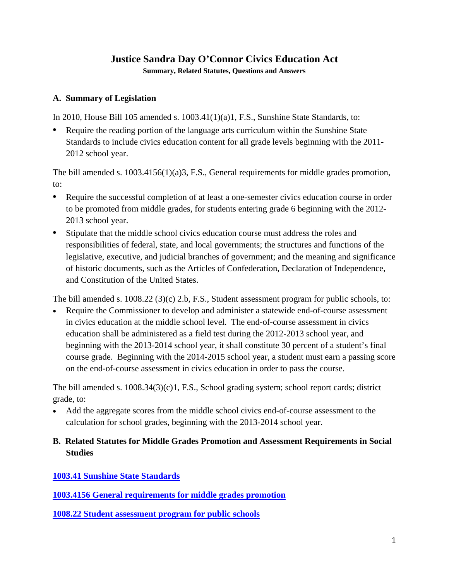# **Justice Sandra Day O'Connor Civics Education Act**

**Summary, Related Statutes, Questions and Answers**

### **A. Summary of Legislation**

In 2010, House Bill 105 amended s.  $1003.41(1)(a)1$ , F.S., Sunshine State Standards, to:

• Require the reading portion of the language arts curriculum within the Sunshine State Standards to include civics education content for all grade levels beginning with the 2011- 2012 school year.

The bill amended s. 1003.4156(1)(a)3, F.S., General requirements for middle grades promotion, to:

- Require the successful completion of at least a one-semester civics education course in order to be promoted from middle grades, for students entering grade 6 beginning with the 2012- 2013 school year.
- Stipulate that the middle school civics education course must address the roles and responsibilities of federal, state, and local governments; the structures and functions of the legislative, executive, and judicial branches of government; and the meaning and significance of historic documents, such as the Articles of Confederation, Declaration of Independence, and Constitution of the United States.

The bill amended s.  $1008.22$  (3)(c) 2.b, F.S., Student assessment program for public schools, to:

• Require the Commissioner to develop and administer a statewide end-of-course assessment in civics education at the middle school level. The end-of-course assessment in civics education shall be administered as a field test during the 2012-2013 school year, and beginning with the 2013-2014 school year, it shall constitute 30 percent of a student's final course grade. Beginning with the 2014-2015 school year, a student must earn a passing score on the end-of-course assessment in civics education in order to pass the course.

The bill amended s. 1008.34(3)(c)1, F.S., School grading system; school report cards; district grade, to:

• Add the aggregate scores from the middle school civics end-of-course assessment to the calculation for school grades, beginning with the 2013-2014 school year.

## **B. Related Statutes for Middle Grades Promotion and Assessment Requirements in Social Studies**

**[1003.41 Sunshine State Standards](http://www.leg.state.fl.us/statutes/index.cfm?mode=View%20Statutes&SubMenu=1&App_mode=Display_Statute&Search_String=1003.41&URL=1000-1099/1003/Sections/1003.41.html)**

**[1003.4156 General requirements for middle grades promotion](http://www.leg.state.fl.us/statutes/index.cfm?mode=View%20Statutes&SubMenu=1&App_mode=Display_Statute&Search_String=1003.4156&URL=1000-1099/1003/Sections/1003.4156.html)**

**[1008.22 Student assessment program for public schools](http://www.leg.state.fl.us/statutes/index.cfm?mode=View%20Statutes&SubMenu=1&App_mode=Display_Statute&Search_String=1008.22&URL=1000-1099/1008/Sections/1008.22.html)**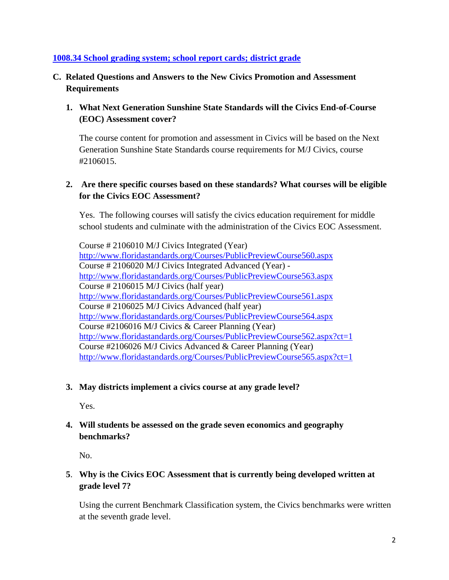### **[1008.34 School grading system; school report cards; district grade](http://www.leg.state.fl.us/statutes/index.cfm?mode=View%20Statutes&SubMenu=1&App_mode=Display_Statute&Search_String=1008.34&URL=1000-1099/1008/Sections/1008.34.html)**

### **C. Related Questions and Answers to the New Civics Promotion and Assessment Requirements**

**1. What Next Generation Sunshine State Standards will the Civics End-of-Course (EOC) Assessment cover?** 

The course content for promotion and assessment in Civics will be based on the Next Generation Sunshine State Standards course requirements for M/J Civics, course #2106015.

## **2. Are there specific courses based on these standards? What courses will be eligible for the Civics EOC Assessment?**

Yes. The following courses will satisfy the civics education requirement for middle school students and culminate with the administration of the Civics EOC Assessment.

Course # 2106010 M/J Civics Integrated (Year) <http://www.floridastandards.org/Courses/PublicPreviewCourse560.aspx> Course # 2106020 M/J Civics Integrated Advanced (Year) <http://www.floridastandards.org/Courses/PublicPreviewCourse563.aspx> Course # 2106015 M/J Civics (half year) <http://www.floridastandards.org/Courses/PublicPreviewCourse561.aspx> Course # 2106025 M/J Civics Advanced (half year) <http://www.floridastandards.org/Courses/PublicPreviewCourse564.aspx> Course #2106016 M/J Civics & Career Planning (Year) <http://www.floridastandards.org/Courses/PublicPreviewCourse562.aspx?ct=1> Course #2106026 M/J Civics Advanced & Career Planning (Year) <http://www.floridastandards.org/Courses/PublicPreviewCourse565.aspx?ct=1>

### **3. May districts implement a civics course at any grade level?**

Yes.

**4. Will students be assessed on the grade seven economics and geography benchmarks?** 

No.

## **5**. **Why is** t**he Civics EOC Assessment that is currently being developed written at grade level 7?**

Using the current Benchmark Classification system, the Civics benchmarks were written at the seventh grade level.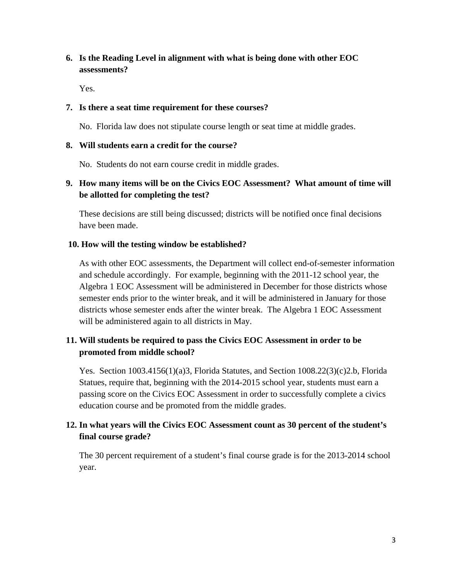## **6. Is the Reading Level in alignment with what is being done with other EOC assessments?**

Yes.

#### **7. Is there a seat time requirement for these courses?**

No. Florida law does not stipulate course length or seat time at middle grades.

### **8. Will students earn a credit for the course?**

No. Students do not earn course credit in middle grades.

## **9. How many items will be on the Civics EOC Assessment? What amount of time will be allotted for completing the test?**

These decisions are still being discussed; districts will be notified once final decisions have been made.

### **10. How will the testing window be established?**

As with other EOC assessments, the Department will collect end-of-semester information and schedule accordingly. For example, beginning with the 2011-12 school year, the Algebra 1 EOC Assessment will be administered in December for those districts whose semester ends prior to the winter break, and it will be administered in January for those districts whose semester ends after the winter break. The Algebra 1 EOC Assessment will be administered again to all districts in May.

## **11. Will students be required to pass the Civics EOC Assessment in order to be promoted from middle school?**

Yes. Section 1003.4156(1)(a)3, Florida Statutes, and Section 1008.22(3)(c)2.b, Florida Statues, require that, beginning with the 2014-2015 school year, students must earn a passing score on the Civics EOC Assessment in order to successfully complete a civics education course and be promoted from the middle grades.

## **12. In what years will the Civics EOC Assessment count as 30 percent of the student's final course grade?**

The 30 percent requirement of a student's final course grade is for the 2013-2014 school year.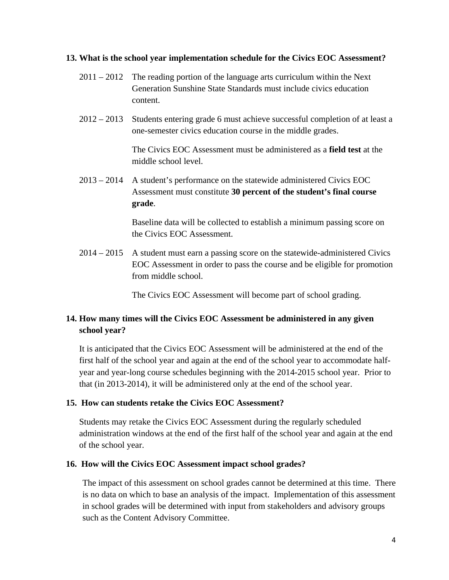#### **13. What is the school year implementation schedule for the Civics EOC Assessment?**

- $2011 2012$  The reading portion of the language arts curriculum within the Next Generation Sunshine State Standards must include civics education content.
- 2012 2013 Students entering grade 6 must achieve successful completion of at least a one-semester civics education course in the middle grades.

The Civics EOC Assessment must be administered as a **field test** at the middle school level.

2013 – 2014 A student's performance on the statewide administered Civics EOC Assessment must constitute **30 percent of the student's final course grade**.

> Baseline data will be collected to establish a minimum passing score on the Civics EOC Assessment.

2014 – 2015 A student must earn a passing score on the statewide-administered Civics EOC Assessment in order to pass the course and be eligible for promotion from middle school.

The Civics EOC Assessment will become part of school grading.

### **14. How many times will the Civics EOC Assessment be administered in any given school year?**

It is anticipated that the Civics EOC Assessment will be administered at the end of the first half of the school year and again at the end of the school year to accommodate halfyear and year-long course schedules beginning with the 2014-2015 school year. Prior to that (in 2013-2014), it will be administered only at the end of the school year.

#### **15. How can students retake the Civics EOC Assessment?**

Students may retake the Civics EOC Assessment during the regularly scheduled administration windows at the end of the first half of the school year and again at the end of the school year.

#### **16. How will the Civics EOC Assessment impact school grades?**

The impact of this assessment on school grades cannot be determined at this time. There is no data on which to base an analysis of the impact. Implementation of this assessment in school grades will be determined with input from stakeholders and advisory groups such as the Content Advisory Committee.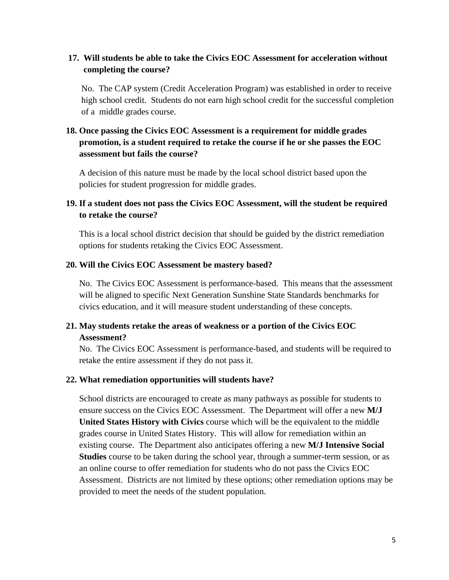## **17. Will students be able to take the Civics EOC Assessment for acceleration without completing the course?**

No. The CAP system (Credit Acceleration Program) was established in order to receive high school credit. Students do not earn high school credit for the successful completion of a middle grades course.

## **18. Once passing the Civics EOC Assessment is a requirement for middle grades promotion, is a student required to retake the course if he or she passes the EOC assessment but fails the course?**

A decision of this nature must be made by the local school district based upon the policies for student progression for middle grades.

### **19. If a student does not pass the Civics EOC Assessment, will the student be required to retake the course?**

This is a local school district decision that should be guided by the district remediation options for students retaking the Civics EOC Assessment.

### **20. Will the Civics EOC Assessment be mastery based?**

No. The Civics EOC Assessment is performance-based. This means that the assessment will be aligned to specific Next Generation Sunshine State Standards benchmarks for civics education, and it will measure student understanding of these concepts.

## **21. May students retake the areas of weakness or a portion of the Civics EOC Assessment?**

No. The Civics EOC Assessment is performance-based, and students will be required to retake the entire assessment if they do not pass it.

### **22. What remediation opportunities will students have?**

School districts are encouraged to create as many pathways as possible for students to ensure success on the Civics EOC Assessment. The Department will offer a new **M/J United States History with Civics** course which will be the equivalent to the middle grades course in United States History. This will allow for remediation within an existing course. The Department also anticipates offering a new **M/J Intensive Social Studies** course to be taken during the school year, through a summer-term session, or as an online course to offer remediation for students who do not pass the Civics EOC Assessment. Districts are not limited by these options; other remediation options may be provided to meet the needs of the student population.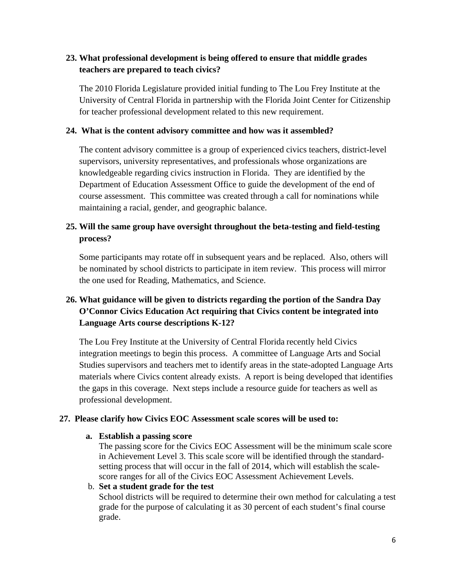## **23. What professional development is being offered to ensure that middle grades teachers are prepared to teach civics?**

The 2010 Florida Legislature provided initial funding to The Lou Frey Institute at the University of Central Florida in partnership with the Florida Joint Center for Citizenship for teacher professional development related to this new requirement.

### **24. What is the content advisory committee and how was it assembled?**

The content advisory committee is a group of experienced civics teachers, district-level supervisors, university representatives, and professionals whose organizations are knowledgeable regarding civics instruction in Florida. They are identified by the Department of Education Assessment Office to guide the development of the end of course assessment. This committee was created through a call for nominations while maintaining a racial, gender, and geographic balance.

### **25. Will the same group have oversight throughout the beta-testing and field-testing process?**

Some participants may rotate off in subsequent years and be replaced. Also, others will be nominated by school districts to participate in item review. This process will mirror the one used for Reading, Mathematics, and Science.

## **26. What guidance will be given to districts regarding the portion of the Sandra Day O'Connor Civics Education Act requiring that Civics content be integrated into Language Arts course descriptions K-12?**

The Lou Frey Institute at the University of Central Florida recently held Civics integration meetings to begin this process. A committee of Language Arts and Social Studies supervisors and teachers met to identify areas in the state-adopted Language Arts materials where Civics content already exists. A report is being developed that identifies the gaps in this coverage. Next steps include a resource guide for teachers as well as professional development.

### **27. Please clarify how Civics EOC Assessment scale scores will be used to:**

#### **a. Establish a passing score**

The passing score for the Civics EOC Assessment will be the minimum scale score in Achievement Level 3. This scale score will be identified through the standardsetting process that will occur in the fall of 2014, which will establish the scalescore ranges for all of the Civics EOC Assessment Achievement Levels.

b. **Set a student grade for the test**

School districts will be required to determine their own method for calculating a test grade for the purpose of calculating it as 30 percent of each student's final course grade.